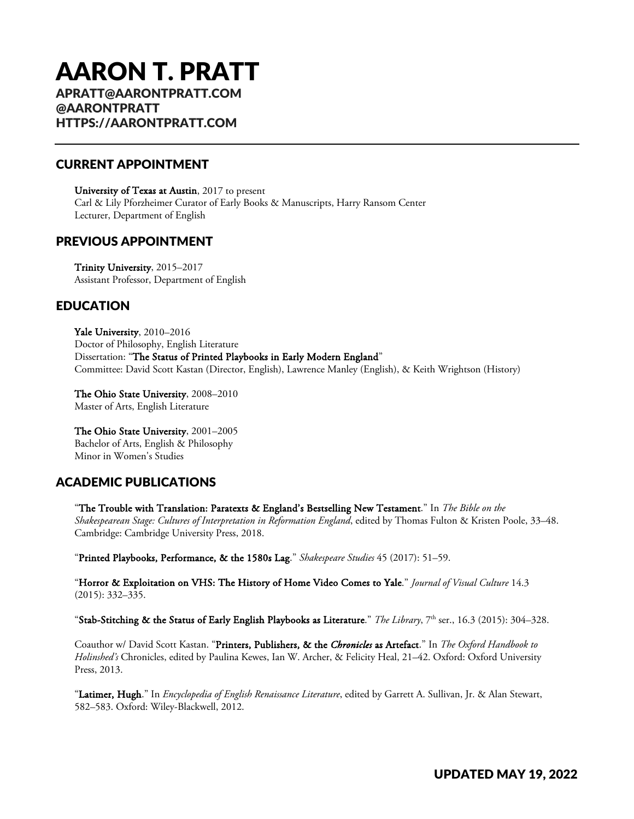# AARON T. PRATT

APRATT@AARONTPRATT.COM @AARONTPRATT HTTPS://AARONTPRATT.COM

# CURRENT APPOINTMENT

University of Texas at Austin, 2017 to present Carl & Lily Pforzheimer Curator of Early Books & Manuscripts, Harry Ransom Center Lecturer, Department of English

## PREVIOUS APPOINTMENT

Trinity University, 2015–2017 Assistant Professor, Department of English

# EDUCATION

Yale University, 2010–2016 Doctor of Philosophy, English Literature Dissertation: "The Status of Printed Playbooks in Early Modern England" Committee: David Scott Kastan (Director, English), Lawrence Manley (English), & Keith Wrightson (History)

The Ohio State University, 2008–2010 Master of Arts, English Literature

The Ohio State University, 2001–2005 Bachelor of Arts, English & Philosophy Minor in Women's Studies

# ACADEMIC PUBLICATIONS

"The Trouble with Translation: Paratexts & England's Bestselling New Testament." In *The Bible on the Shakespearean Stage: Cultures of Interpretation in Reformation England*, edited by Thomas Fulton & Kristen Poole, 33–48. Cambridge: Cambridge University Press, 2018.

"Printed Playbooks, Performance, & the 1580s Lag." *Shakespeare Studies* 45 (2017): 51–59.

"Horror & Exploitation on VHS: The History of Home Video Comes to Yale." *Journal of Visual Culture* 14.3 (2015): 332–335.

"Stab-Stitching & the Status of Early English Playbooks as Literature." *The Library*, 7<sup>th</sup> ser., 16.3 (2015): 304–328.

Coauthor w/ David Scott Kastan. "Printers, Publishers, & the *Chronicles* as Artefact." In *The Oxford Handbook to Holinshed's* Chronicles, edited by Paulina Kewes, Ian W. Archer, & Felicity Heal, 21–42. Oxford: Oxford University Press, 2013.

"Latimer, Hugh." In *Encyclopedia of English Renaissance Literature*, edited by Garrett A. Sullivan, Jr. & Alan Stewart, 582–583. Oxford: Wiley-Blackwell, 2012.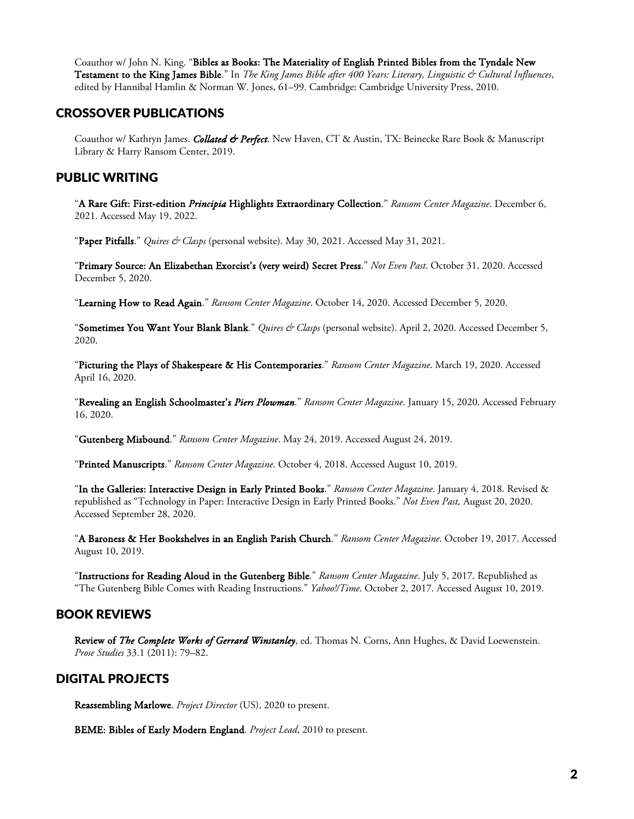Coauthor w/ John N. King. "Bibles as Books: The Materiality of English Printed Bibles from the Tyndale New Testament to the King James Bible." In *The King James Bible after 400 Years: Literary, Linguistic & Cultural Influences*, edited by Hannibal Hamlin & Norman W. Jones, 61–99. Cambridge: Cambridge University Press, 2010.

#### CROSSOVER PUBLICATIONS

Coauthor w/ Kathryn James. *Collated & Perfect*. New Haven, CT & Austin, TX: Beinecke Rare Book & Manuscript Library & Harry Ransom Center, 2019.

# PUBLIC WRITING

"A Rare Gift: First-edition *Principia* Highlights Extraordinary Collection." *Ransom Center Magazine*. December 6, 2021. Accessed May 19, 2022.

"Paper Pitfalls." *Quires & Clasps* (personal website). May 30, 2021. Accessed May 31, 2021.

"Primary Source: An Elizabethan Exorcist's (very weird) Secret Press." *Not Even Past*. October 31, 2020. Accessed December 5, 2020.

"Learning How to Read Again." *Ransom Center Magazine*. October 14, 2020. Accessed December 5, 2020.

"Sometimes You Want Your Blank Blank." *Quires & Clasps* (personal website). April 2, 2020. Accessed December 5, 2020.

"Picturing the Plays of Shakespeare & His Contemporaries." *Ransom Center Magazine*. March 19, 2020. Accessed April 16, 2020.

"Revealing an English Schoolmaster's *Piers Plowman*." *Ransom Center Magazine*. January 15, 2020. Accessed February 16, 2020.

"Gutenberg Misbound." *Ransom Center Magazine*. May 24, 2019. Accessed August 24, 2019.

"Printed Manuscripts." *Ransom Center Magazine*. October 4, 2018. Accessed August 10, 2019.

"In the Galleries: Interactive Design in Early Printed Books." *Ransom Center Magazine*. January 4, 2018. Revised & republished as "Technology in Paper: Interactive Design in Early Printed Books." *Not Even Past.* August 20, 2020. Accessed September 28, 2020.

"A Baroness & Her Bookshelves in an English Parish Church." *Ransom Center Magazine*. October 19, 2017. Accessed August 10, 2019.

"Instructions for Reading Aloud in the Gutenberg Bible." *Ransom Center Magazine*. July 5, 2017. Republished as "The Gutenberg Bible Comes with Reading Instructions." *Yahoo!/Time*. October 2, 2017. Accessed August 10, 2019.

#### BOOK REVIEWS

Review of *The Complete Works of Gerrard Winstanley*, ed. Thomas N. Corns, Ann Hughes, & David Loewenstein. *Prose Studies* 33.1 (2011): 79–82.

## DIGITAL PROJECTS

Reassembling Marlowe. *Project Director* (US), 2020 to present.

BEME: Bibles of Early Modern England. *Project Lead*, 2010 to present.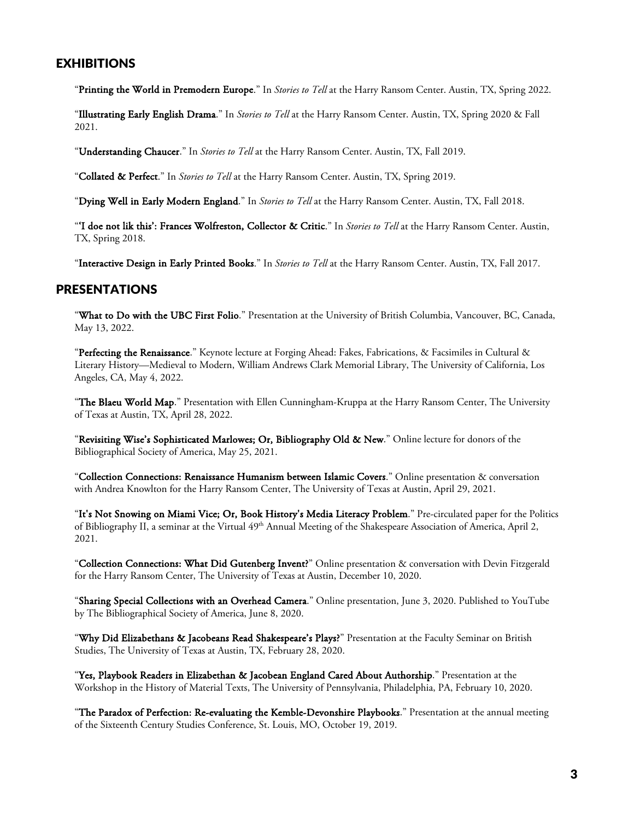## EXHIBITIONS

"Printing the World in Premodern Europe." In *Stories to Tell* at the Harry Ransom Center. Austin, TX, Spring 2022.

"Illustrating Early English Drama." In *Stories to Tell* at the Harry Ransom Center. Austin, TX, Spring 2020 & Fall 2021.

"Understanding Chaucer." In *Stories to Tell* at the Harry Ransom Center. Austin, TX, Fall 2019.

"Collated & Perfect." In *Stories to Tell* at the Harry Ransom Center. Austin, TX, Spring 2019.

"Dying Well in Early Modern England." In *Stories to Tell* at the Harry Ransom Center. Austin, TX, Fall 2018.

"'I doe not lik this': Frances Wolfreston, Collector & Critic." In *Stories to Tell* at the Harry Ransom Center. Austin, TX, Spring 2018.

"Interactive Design in Early Printed Books." In *Stories to Tell* at the Harry Ransom Center. Austin, TX, Fall 2017.

#### PRESENTATIONS

"What to Do with the UBC First Folio." Presentation at the University of British Columbia, Vancouver, BC, Canada, May 13, 2022.

"Perfecting the Renaissance." Keynote lecture at Forging Ahead: Fakes, Fabrications, & Facsimiles in Cultural & Literary History—Medieval to Modern, William Andrews Clark Memorial Library, The University of California, Los Angeles, CA, May 4, 2022.

"The Blaeu World Map." Presentation with Ellen Cunningham-Kruppa at the Harry Ransom Center, The University of Texas at Austin, TX, April 28, 2022.

"Revisiting Wise's Sophisticated Marlowes; Or, Bibliography Old & New." Online lecture for donors of the Bibliographical Society of America, May 25, 2021.

"Collection Connections: Renaissance Humanism between Islamic Covers." Online presentation & conversation with Andrea Knowlton for the Harry Ransom Center, The University of Texas at Austin, April 29, 2021.

"It's Not Snowing on Miami Vice; Or, Book History's Media Literacy Problem." Pre-circulated paper for the Politics of Bibliography II, a seminar at the Virtual 49<sup>th</sup> Annual Meeting of the Shakespeare Association of America, April 2, 2021.

"Collection Connections: What Did Gutenberg Invent?" Online presentation & conversation with Devin Fitzgerald for the Harry Ransom Center, The University of Texas at Austin, December 10, 2020.

"Sharing Special Collections with an Overhead Camera." Online presentation, June 3, 2020. Published to YouTube by The Bibliographical Society of America, June 8, 2020.

"Why Did Elizabethans & Jacobeans Read Shakespeare's Plays?" Presentation at the Faculty Seminar on British Studies, The University of Texas at Austin, TX, February 28, 2020.

"Yes, Playbook Readers in Elizabethan & Jacobean England Cared About Authorship." Presentation at the Workshop in the History of Material Texts, The University of Pennsylvania, Philadelphia, PA, February 10, 2020.

"The Paradox of Perfection: Re-evaluating the Kemble-Devonshire Playbooks." Presentation at the annual meeting of the Sixteenth Century Studies Conference, St. Louis, MO, October 19, 2019.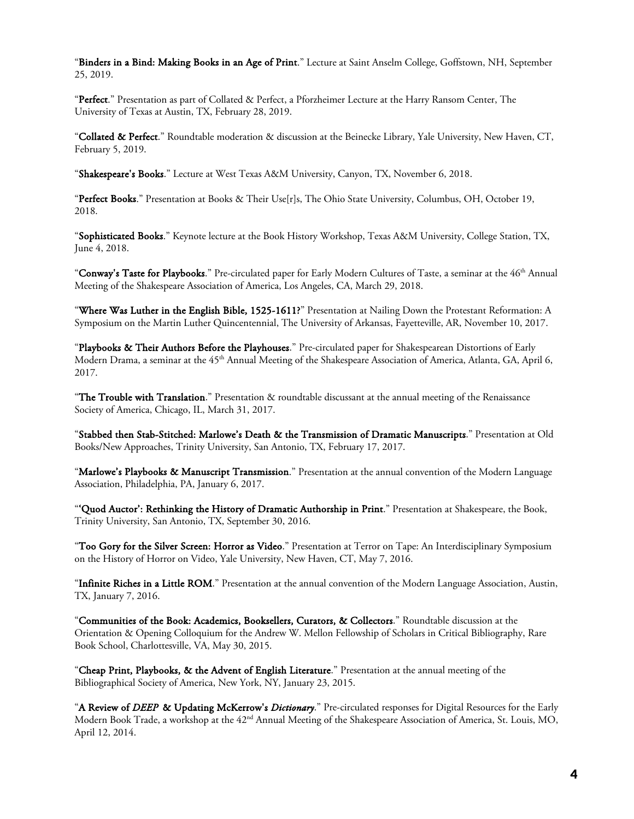"Binders in a Bind: Making Books in an Age of Print." Lecture at Saint Anselm College, Goffstown, NH, September 25, 2019.

"Perfect." Presentation as part of Collated & Perfect, a Pforzheimer Lecture at the Harry Ransom Center, The University of Texas at Austin, TX, February 28, 2019.

"Collated & Perfect." Roundtable moderation & discussion at the Beinecke Library, Yale University, New Haven, CT, February 5, 2019.

"Shakespeare's Books." Lecture at West Texas A&M University, Canyon, TX, November 6, 2018.

"Perfect Books." Presentation at Books & Their Use[r]s, The Ohio State University, Columbus, OH, October 19, 2018.

"Sophisticated Books." Keynote lecture at the Book History Workshop, Texas A&M University, College Station, TX, June 4, 2018.

"Conway's Taste for Playbooks." Pre-circulated paper for Early Modern Cultures of Taste, a seminar at the 46<sup>th</sup> Annual Meeting of the Shakespeare Association of America, Los Angeles, CA, March 29, 2018.

"Where Was Luther in the English Bible, 1525-1611?" Presentation at Nailing Down the Protestant Reformation: A Symposium on the Martin Luther Quincentennial, The University of Arkansas, Fayetteville, AR, November 10, 2017.

"Playbooks & Their Authors Before the Playhouses." Pre-circulated paper for Shakespearean Distortions of Early Modern Drama, a seminar at the 45<sup>th</sup> Annual Meeting of the Shakespeare Association of America, Atlanta, GA, April 6, 2017.

"The Trouble with Translation." Presentation & roundtable discussant at the annual meeting of the Renaissance Society of America, Chicago, IL, March 31, 2017.

"Stabbed then Stab-Stitched: Marlowe's Death & the Transmission of Dramatic Manuscripts." Presentation at Old Books/New Approaches, Trinity University, San Antonio, TX, February 17, 2017.

"Marlowe's Playbooks & Manuscript Transmission." Presentation at the annual convention of the Modern Language Association, Philadelphia, PA, January 6, 2017.

"'Quod Auctor': Rethinking the History of Dramatic Authorship in Print." Presentation at Shakespeare, the Book, Trinity University, San Antonio, TX, September 30, 2016.

"Too Gory for the Silver Screen: Horror as Video." Presentation at Terror on Tape: An Interdisciplinary Symposium on the History of Horror on Video, Yale University, New Haven, CT, May 7, 2016.

"Infinite Riches in a Little ROM." Presentation at the annual convention of the Modern Language Association, Austin, TX, January 7, 2016.

"Communities of the Book: Academics, Booksellers, Curators, & Collectors." Roundtable discussion at the Orientation & Opening Colloquium for the Andrew W. Mellon Fellowship of Scholars in Critical Bibliography, Rare Book School, Charlottesville, VA, May 30, 2015.

"Cheap Print, Playbooks, & the Advent of English Literature." Presentation at the annual meeting of the Bibliographical Society of America, New York, NY, January 23, 2015.

"A Review of *DEEP* & Updating McKerrow's *Dictionary*." Pre-circulated responses for Digital Resources for the Early Modern Book Trade, a workshop at the 42nd Annual Meeting of the Shakespeare Association of America, St. Louis, MO, April 12, 2014.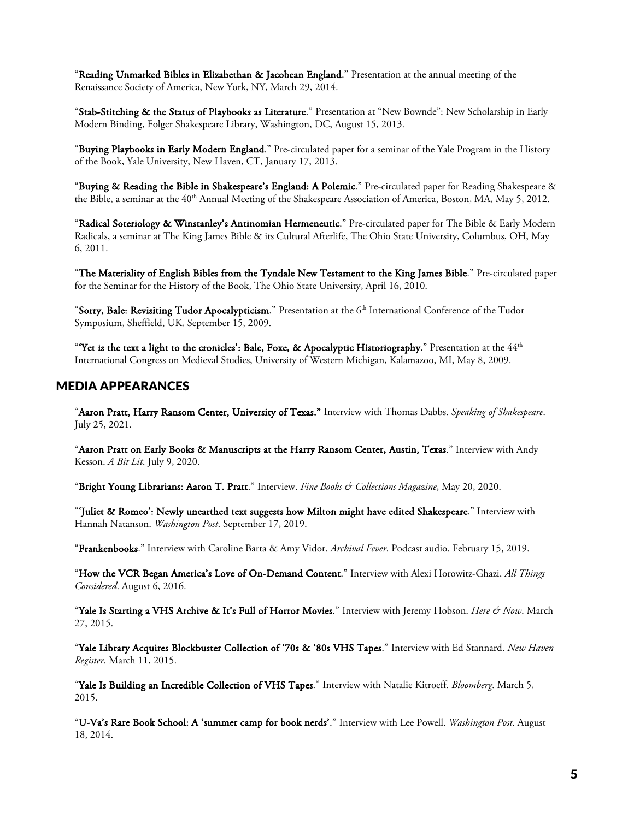"Reading Unmarked Bibles in Elizabethan & Jacobean England." Presentation at the annual meeting of the Renaissance Society of America, New York, NY, March 29, 2014.

"Stab-Stitching & the Status of Playbooks as Literature." Presentation at "New Bownde": New Scholarship in Early Modern Binding, Folger Shakespeare Library, Washington, DC, August 15, 2013.

"Buying Playbooks in Early Modern England." Pre-circulated paper for a seminar of the Yale Program in the History of the Book, Yale University, New Haven, CT, January 17, 2013.

"Buying & Reading the Bible in Shakespeare's England: A Polemic." Pre-circulated paper for Reading Shakespeare & the Bible, a seminar at the 40<sup>th</sup> Annual Meeting of the Shakespeare Association of America, Boston, MA, May 5, 2012.

"Radical Soteriology & Winstanley's Antinomian Hermeneutic." Pre-circulated paper for The Bible & Early Modern Radicals, a seminar at The King James Bible & its Cultural Afterlife, The Ohio State University, Columbus, OH, May 6, 2011.

"The Materiality of English Bibles from the Tyndale New Testament to the King James Bible." Pre-circulated paper for the Seminar for the History of the Book, The Ohio State University, April 16, 2010.

"Sorry, Bale: Revisiting Tudor Apocalypticism." Presentation at the 6<sup>th</sup> International Conference of the Tudor Symposium, Sheffield, UK, September 15, 2009.

"Yet is the text a light to the cronicles': Bale, Foxe, & Apocalyptic Historiography." Presentation at the  $44<sup>th</sup>$ International Congress on Medieval Studies, University of Western Michigan, Kalamazoo, MI, May 8, 2009.

#### MEDIA APPEARANCES

"Aaron Pratt, Harry Ransom Center, University of Texas." Interview with Thomas Dabbs. *Speaking of Shakespeare*. July 25, 2021.

"Aaron Pratt on Early Books & Manuscripts at the Harry Ransom Center, Austin, Texas." Interview with Andy Kesson. *A Bit Lit*. July 9, 2020.

"Bright Young Librarians: Aaron T. Pratt." Interview. *Fine Books & Collections Magazine*, May 20, 2020.

"'Juliet & Romeo': Newly unearthed text suggests how Milton might have edited Shakespeare." Interview with Hannah Natanson. *Washington Post*. September 17, 2019.

"Frankenbooks." Interview with Caroline Barta & Amy Vidor. *Archival Fever*. Podcast audio. February 15, 2019.

"How the VCR Began America's Love of On-Demand Content." Interview with Alexi Horowitz-Ghazi. *All Things Considered*. August 6, 2016.

"Yale Is Starting a VHS Archive & It's Full of Horror Movies." Interview with Jeremy Hobson. *Here & Now*. March 27, 2015.

"Yale Library Acquires Blockbuster Collection of '70s & '80s VHS Tapes." Interview with Ed Stannard. *New Haven Register*. March 11, 2015.

"Yale Is Building an Incredible Collection of VHS Tapes." Interview with Natalie Kitroeff. *Bloomberg*. March 5, 2015.

"U-Va's Rare Book School: A 'summer camp for book nerds'." Interview with Lee Powell. *Washington Post*. August 18, 2014.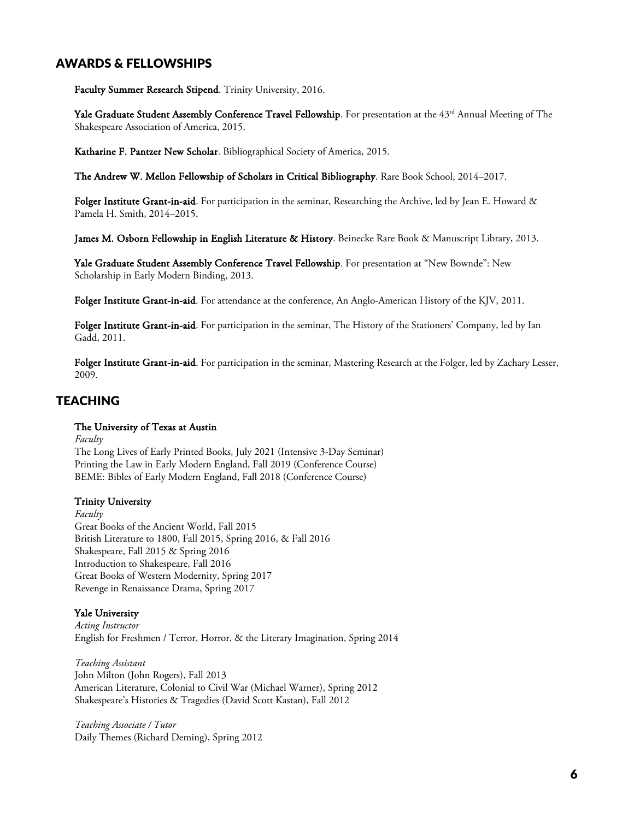# AWARDS & FELLOWSHIPS

Faculty Summer Research Stipend. Trinity University, 2016.

Yale Graduate Student Assembly Conference Travel Fellowship. For presentation at the 43rd Annual Meeting of The Shakespeare Association of America, 2015.

Katharine F. Pantzer New Scholar. Bibliographical Society of America, 2015.

The Andrew W. Mellon Fellowship of Scholars in Critical Bibliography. Rare Book School, 2014–2017.

Folger Institute Grant-in-aid. For participation in the seminar, Researching the Archive, led by Jean E. Howard & Pamela H. Smith, 2014–2015.

James M. Osborn Fellowship in English Literature & History. Beinecke Rare Book & Manuscript Library, 2013.

Yale Graduate Student Assembly Conference Travel Fellowship. For presentation at "New Bownde": New Scholarship in Early Modern Binding, 2013.

Folger Institute Grant-in-aid. For attendance at the conference, An Anglo-American History of the KJV, 2011.

Folger Institute Grant-in-aid. For participation in the seminar, The History of the Stationers' Company, led by Ian Gadd, 2011.

Folger Institute Grant-in-aid. For participation in the seminar, Mastering Research at the Folger, led by Zachary Lesser, 2009.

## **TEACHING**

#### The University of Texas at Austin

*Faculty*

The Long Lives of Early Printed Books, July 2021 (Intensive 3-Day Seminar) Printing the Law in Early Modern England, Fall 2019 (Conference Course) BEME: Bibles of Early Modern England, Fall 2018 (Conference Course)

#### Trinity University

*Faculty* Great Books of the Ancient World, Fall 2015 British Literature to 1800, Fall 2015, Spring 2016, & Fall 2016 Shakespeare, Fall 2015 & Spring 2016 Introduction to Shakespeare, Fall 2016 Great Books of Western Modernity, Spring 2017 Revenge in Renaissance Drama, Spring 2017

#### Yale University

*Acting Instructor* English for Freshmen / Terror, Horror, & the Literary Imagination, Spring 2014

*Teaching Assistant* John Milton (John Rogers), Fall 2013 American Literature, Colonial to Civil War (Michael Warner), Spring 2012 Shakespeare's Histories & Tragedies (David Scott Kastan), Fall 2012

*Teaching Associate / Tutor* Daily Themes (Richard Deming), Spring 2012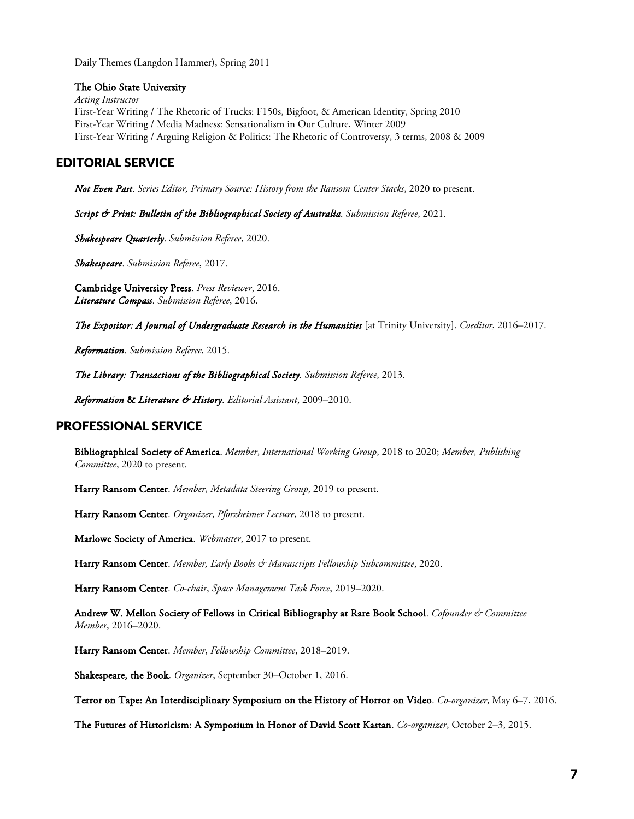Daily Themes (Langdon Hammer), Spring 2011

#### The Ohio State University

*Acting Instructor* First-Year Writing / The Rhetoric of Trucks: F150s, Bigfoot, & American Identity, Spring 2010 First-Year Writing / Media Madness: Sensationalism in Our Culture, Winter 2009 First-Year Writing / Arguing Religion & Politics: The Rhetoric of Controversy, 3 terms, 2008 & 2009

# EDITORIAL SERVICE

*Not Even Past*. *Series Editor, Primary Source: History from the Ransom Center Stacks*, 2020 to present.

*Script & Print: Bulletin of the Bibliographical Society of Australia*. *Submission Referee*, 2021.

*Shakespeare Quarterly*. *Submission Referee*, 2020.

*Shakespeare*. *Submission Referee*, 2017.

Cambridge University Press. *Press Reviewer*, 2016. *Literature Compass*. *Submission Referee*, 2016.

*The Expositor: A Journal of Undergraduate Research in the Humanities* [at Trinity University]. *Coeditor*, 2016–2017.

*Reformation*. *Submission Referee*, 2015.

*The Library: Transactions of the Bibliographical Society*. *Submission Referee*, 2013.

*Reformation* & *Literature & History*. *Editorial Assistant*, 2009–2010.

# PROFESSIONAL SERVICE

Bibliographical Society of America. *Member*, *International Working Group*, 2018 to 2020; *Member, Publishing Committee*, 2020 to present.

Harry Ransom Center. *Member*, *Metadata Steering Group*, 2019 to present.

Harry Ransom Center. *Organizer*, *Pforzheimer Lecture*, 2018 to present.

Marlowe Society of America. *Webmaster*, 2017 to present.

Harry Ransom Center. Member, Early Books & Manuscripts Fellowship Subcommittee, 2020.

Harry Ransom Center. *Co-chair*, *Space Management Task Force*, 2019–2020.

Andrew W. Mellon Society of Fellows in Critical Bibliography at Rare Book School. *Cofounder & Committee Member*, 2016–2020.

Harry Ransom Center. *Member*, *Fellowship Committee*, 2018–2019.

Shakespeare, the Book. *Organizer*, September 30–October 1, 2016.

Terror on Tape: An Interdisciplinary Symposium on the History of Horror on Video. *Co-organizer*, May 6–7, 2016.

The Futures of Historicism: A Symposium in Honor of David Scott Kastan. *Co-organizer*, October 2–3, 2015.